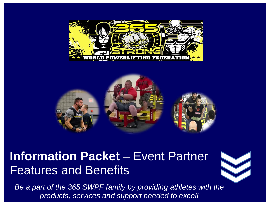



# **Information Packet** – Event Partner Features and Benefits

*Be a part of the 365 SWPF family by providing athletes with the products, services and support needed to excel!*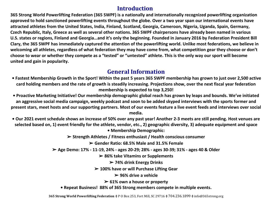#### **Introduction**

**365 Strong World Powerlifting Federation (365 SWPF) is a nationally and internationally recognized powerlifting organization approved to hold sanctioned powerlifting events throughout the globe. Over a two year span our international events have attracted athletes from the United States, India, Finland, Scotland, Georgia, Cameroon, Nigeria, Uganda, Spain, Germany, Czech Republic, Italy, Greece as well as several other nations. 365 SWPF chairpersons have already been named in various U.S. states or regions, Finland and Georgia…and it's only the beginning. Founded in January 2016 by Federation President Bill Clary, the 365 SWPF has immediately captured the attention of the powerlifting world. Unlike most federations, we believe in welcoming all athletes, regardless of what federation they may have come from, what competition gear they choose or don't choose to wear or whether they compete as a "tested" or "untested" athlete. This is the only way our sport will become united and gain in popularity.**

#### **General Information**

- **Fastest Membership Growth in the Sport! Within the past 5 years 365 SWPF membership has grown to just over 2,500 active card holding members and the rate of growth is steadily increasing. Projections show, over the next fiscal year federation membership is expected to top 3,250!**
- **Proactive Marketing Initiative! Our membership demographic global reach has grown by leaps and bounds. We've initiated an aggressive social media campaign, weekly podcast and soon to be added skyped interviews with the sports former and present stars, meet hosts and our supporting partners. Most of our events feature a live event feeds and interviews over social media.**
- **Our 2021 event schedule shows an increase of 50% over any past year! Another 2-3 meets are still pending. Host venues are selected based on, 1) event friendly for the athlete, vendor, etc., 2) geographic diversity, 3) adequate equipment and space**

**• Membership Demographic:** 

➢ **Strength Athletes / Fitness enthusiast / Health conscious consumer** 

➢ **Gender Ratio: 68.5% Male and 31.5% Female** 

➢ **Age Demo: 17% - 11-19, 24% - ages 20-29; 28% - ages 30-39; 31% - ages 40 & Older** 

➢ **86% take Vitamins or Supplements** 

➢ **74% drink Energy Drinks** 

➢ **100% have or will Purchase Lifting Gear** 

➢ **96% drive a vehicle** 

➢ **61% own a house or property** 

**• Repeat Business! 88% of 365 Strong members compete in multiple events.**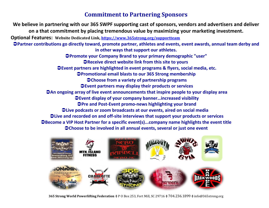#### **Commitment to Partnering Sponsors**

**We believe in partnering with our 365 SWPF supporting cast of sponsors, vendors and advertisers and deliver on a that commitment by placing tremendous value by maximizing your marketing investment. Optional Features: Website Dedicated Link,<https://www.365strong.org/supportteam>** → Partner contributions go directly toward, promote partner, athletes and events, event awards, annual team derby and **in other ways that support our athletes. Promote your Company Brand to your primary demographic "user" Receive direct website link from this site to yours Event partners are highlighted in event programs & flyers, social media, etc. Promotional email blasts to our 365 Strong membership Choose from a variety of partnership programs Event partners may display their products or services An ongoing array of live event announcements that inspire people to your display area Event display of your company banner…increased visibility Pre and Post-Event promo-news highlighting your brand Live podcasts or zoom broadcasts at our events, aired on social media Live and recorded on and off-site interviews that support your products or services Become a VIP Host Partner for a specific event(s)...company name highlights the event title Choose to be involved in all annual events, several or just one event**



**365 Strong World Powerlifting Federation ◊** P O Box 253, Fort Mill, SC 29716 **◊** 704.236.1899 **◊** info@365strong.org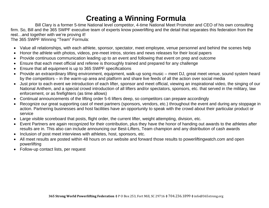# **Creating a Winning Formula**

Bill Clary is a former 5-time National level competitor, 4-time National Meet Promoter and CEO of his own consulting firm. So, Bill and the 365 SWPF executive team of experts know powerlifting and the detail that separates this federation from the rest…and together with we're proving it!

The 365 SWPF Winning "Team" Formula:

- Value all relationships, with each athlete, sponsor, spectator, meet employee, venue personnel and behind the scenes help
- Honor the athlete with photos, videos, pre-meet intros, stories and news releases for their local papers
- Provide continuous communication leading up to an event and following that event on prep and outcome
- Ensure that each meet official and referee is thoroughly trained and prepared for any challenge
- Ensure that all equipment is up to 365 SWPF specifications
- Provide an extraordinary lifting environment, equipment, walk-up song music meet DJ, great meet venue, sound system heard by the competitors – in the warm-up area and platform and share live feeds of all the action over social media
- Just prior to each event we introduction of each lifter, sponsor and meet official, viewing an inspirational video, the singing of our National Anthem, and a special crowd introduction of all lifters and/or spectators, sponsors, etc. that served in the military, law enforcement, or as firefighters (as time allows)
- Continual announcements of the lifting order 5-6 lifters deep, so competitors can prepare accordingly
- Recognize our great supporting cast of meet partners (sponsors, vendors, etc.) throughout the event and during any stoppage in action. Partnering businesses and host facilities have an opportunity to speak with the crowd about their particular product or service
- Large visible scoreboard that posts, flight order, the current lifter, weight attempting, division, etc.
- Event Partners are again recognized for their contribution, plus they have the honor of handing out awards to the athletes after results are in. This also can include announcing our Best-Lifters, Team champion and any distribution of cash awards
- Inclusion of post meet interviews with athletes, host, sponsors, etc.
- All meet results are posted within 48 hours on our website and forward those results to powerliftingwatch.com and open powerlifting
- Follow-up contact lists, per request